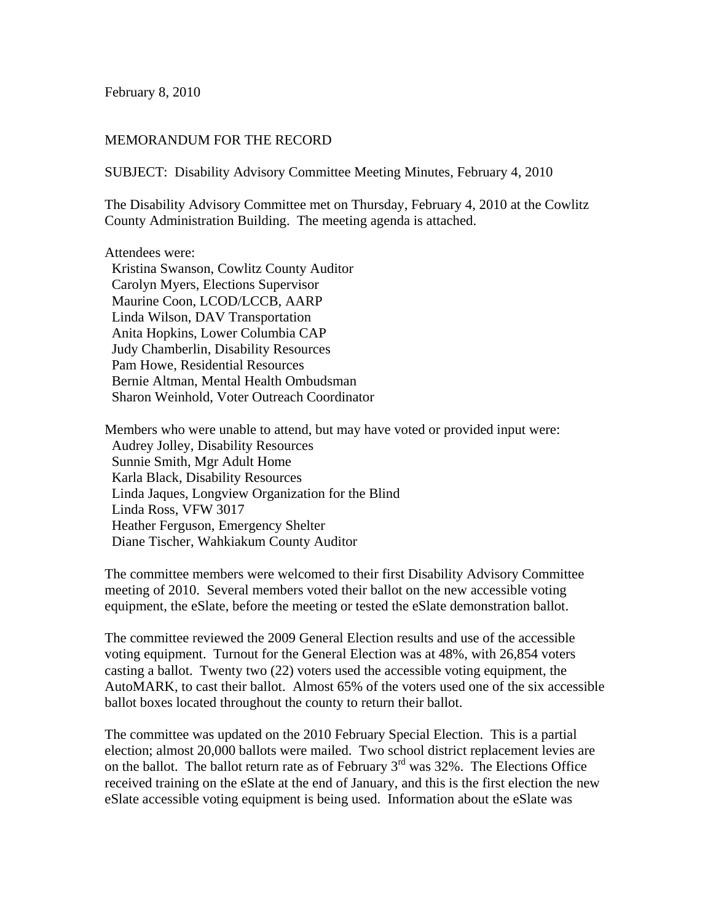February 8, 2010

## MEMORANDUM FOR THE RECORD

SUBJECT: Disability Advisory Committee Meeting Minutes, February 4, 2010

The Disability Advisory Committee met on Thursday, February 4, 2010 at the Cowlitz County Administration Building. The meeting agenda is attached.

Attendees were:

 Kristina Swanson, Cowlitz County Auditor Carolyn Myers, Elections Supervisor Maurine Coon, LCOD/LCCB, AARP Linda Wilson, DAV Transportation Anita Hopkins, Lower Columbia CAP Judy Chamberlin, Disability Resources Pam Howe, Residential Resources Bernie Altman, Mental Health Ombudsman Sharon Weinhold, Voter Outreach Coordinator

Members who were unable to attend, but may have voted or provided input were: Audrey Jolley, Disability Resources Sunnie Smith, Mgr Adult Home Karla Black, Disability Resources Linda Jaques, Longview Organization for the Blind Linda Ross, VFW 3017 Heather Ferguson, Emergency Shelter Diane Tischer, Wahkiakum County Auditor

The committee members were welcomed to their first Disability Advisory Committee meeting of 2010. Several members voted their ballot on the new accessible voting equipment, the eSlate, before the meeting or tested the eSlate demonstration ballot.

The committee reviewed the 2009 General Election results and use of the accessible voting equipment. Turnout for the General Election was at 48%, with 26,854 voters casting a ballot. Twenty two (22) voters used the accessible voting equipment, the AutoMARK, to cast their ballot. Almost 65% of the voters used one of the six accessible ballot boxes located throughout the county to return their ballot.

The committee was updated on the 2010 February Special Election. This is a partial election; almost 20,000 ballots were mailed. Two school district replacement levies are on the ballot. The ballot return rate as of February  $3<sup>rd</sup>$  was 32%. The Elections Office received training on the eSlate at the end of January, and this is the first election the new eSlate accessible voting equipment is being used. Information about the eSlate was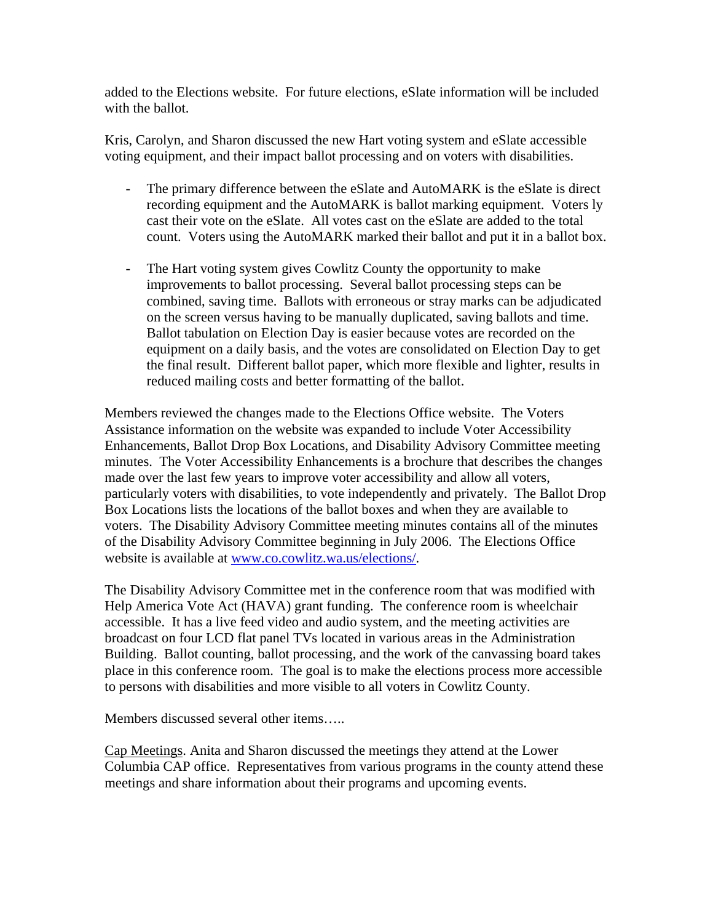added to the Elections website. For future elections, eSlate information will be included with the ballot.

Kris, Carolyn, and Sharon discussed the new Hart voting system and eSlate accessible voting equipment, and their impact ballot processing and on voters with disabilities.

- The primary difference between the eSlate and AutoMARK is the eSlate is direct recording equipment and the AutoMARK is ballot marking equipment. Voters ly cast their vote on the eSlate. All votes cast on the eSlate are added to the total count. Voters using the AutoMARK marked their ballot and put it in a ballot box.
- The Hart voting system gives Cowlitz County the opportunity to make improvements to ballot processing. Several ballot processing steps can be combined, saving time. Ballots with erroneous or stray marks can be adjudicated on the screen versus having to be manually duplicated, saving ballots and time. Ballot tabulation on Election Day is easier because votes are recorded on the equipment on a daily basis, and the votes are consolidated on Election Day to get the final result. Different ballot paper, which more flexible and lighter, results in reduced mailing costs and better formatting of the ballot.

Members reviewed the changes made to the Elections Office website. The Voters Assistance information on the website was expanded to include Voter Accessibility Enhancements, Ballot Drop Box Locations, and Disability Advisory Committee meeting minutes. The Voter Accessibility Enhancements is a brochure that describes the changes made over the last few years to improve voter accessibility and allow all voters, particularly voters with disabilities, to vote independently and privately. The Ballot Drop Box Locations lists the locations of the ballot boxes and when they are available to voters. The Disability Advisory Committee meeting minutes contains all of the minutes of the Disability Advisory Committee beginning in July 2006. The Elections Office website is available at www.co.cowlitz.wa.us/elections/.

The Disability Advisory Committee met in the conference room that was modified with Help America Vote Act (HAVA) grant funding. The conference room is wheelchair accessible. It has a live feed video and audio system, and the meeting activities are broadcast on four LCD flat panel TVs located in various areas in the Administration Building. Ballot counting, ballot processing, and the work of the canvassing board takes place in this conference room. The goal is to make the elections process more accessible to persons with disabilities and more visible to all voters in Cowlitz County.

Members discussed several other items…..

Cap Meetings. Anita and Sharon discussed the meetings they attend at the Lower Columbia CAP office. Representatives from various programs in the county attend these meetings and share information about their programs and upcoming events.